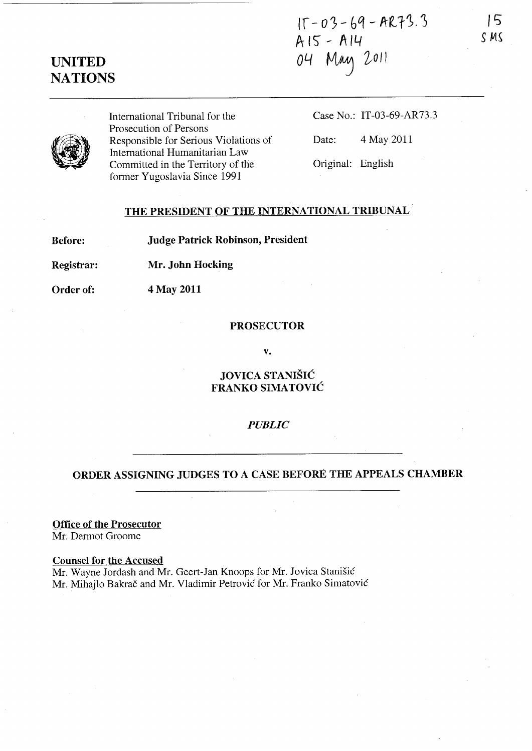$15 - 03 - 69 - AR73.3$  $A15 - A14$ 04 May 2011

# **UNITED NATIONS**

International Tribunal for the Prosecution of Persons Responsible for Serious Violations of International Humanitarian Law Committed in the Territory of the former Yugoslavia Since 1991

Case No.: IT-03-69-AR73.3

IS *S MS* 

Date: 4 May 2011

Original: English

# THE PRESIDENT OF THE INTERNATIONAL TRIBUNAL

Before: Judge Patrick Robinson, President

Registrar: Mr. John Hocking

Order of: 4 May 2011

#### PROSECUTOR

v.

JOVICA STANISIC FRANKO SIMATOVIC

### *PUBLIC*

## ORDER ASSIGNING JUDGES TO A CASE BEFORE THE APPEALS CHAMBER

Office of the Prosecutor

Mr. Dermot Groome

Counsel for the Accused Mr. Wayne Jordash and Mr. Geert-Jan Knoops for Mr. Jovica Stanisic Mr. Mihajlo Bakrač and Mr. Vladimir Petrović for Mr. Franko Simatović